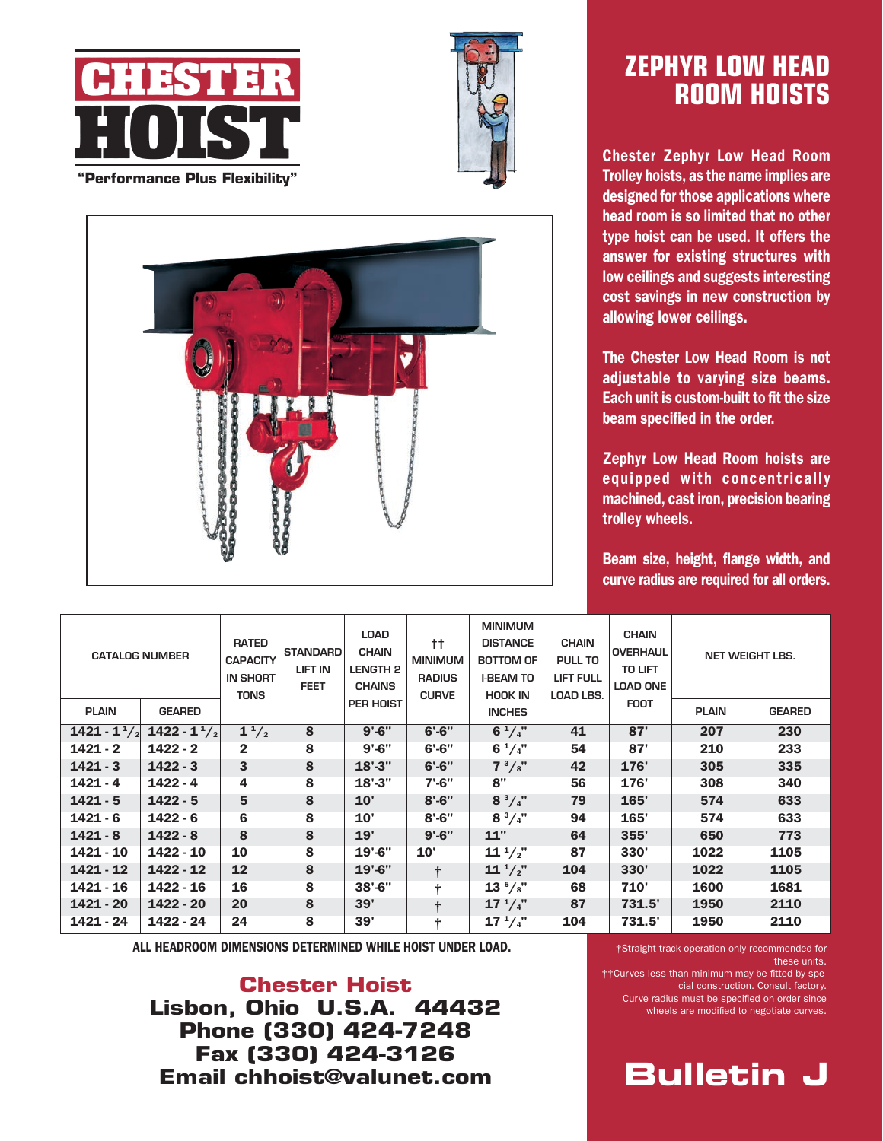





## **Zephyr low head room hoists**

Chester Zephyr Low Head Room Trolley hoists, as the name implies are designed for those applications where head room is so limited that no other type hoist can be used. It offers the answer for existing structures with low ceilings and suggests interesting cost savings in new construction by allowing lower ceilings.

The Chester Low Head Room is not adjustable to varying size beams. Each unit is custom-built to fit the size beam specified in the order.

Zephyr Low Head Room hoists are equipped with concentrically machined, cast iron, precision bearing trolley wheels.

Beam size, height, flange width, and curve radius are required for all orders.

| <b>CATALOG NUMBER</b> |                          | <b>RATED</b><br><b>CAPACITY</b><br><b>IN SHORT</b><br><b>TONS</b> | <b>STANDARD</b><br>LIFT IN<br><b>FEET</b> | <b>LOAD</b><br><b>CHAIN</b><br><b>LENGTH 2</b><br><b>CHAINS</b> | tt.<br><b>MINIMUM</b><br><b>RADIUS</b><br><b>CURVE</b> | <b>MINIMUM</b><br><b>DISTANCE</b><br><b>BOTTOM OF</b><br><b>I-BEAM TO</b><br><b>HOOK IN</b> | <b>CHAIN</b><br>PULL TO<br><b>LIFT FULL</b><br><b>LOAD LBS.</b> | <b>CHAIN</b><br><b>OVERHAUL</b><br><b>TO LIFT</b><br><b>LOAD ONE</b> | <b>NET WEIGHT LBS.</b> |               |
|-----------------------|--------------------------|-------------------------------------------------------------------|-------------------------------------------|-----------------------------------------------------------------|--------------------------------------------------------|---------------------------------------------------------------------------------------------|-----------------------------------------------------------------|----------------------------------------------------------------------|------------------------|---------------|
| <b>PLAIN</b>          | <b>GEARED</b>            |                                                                   |                                           | PER HOIST                                                       |                                                        | <b>INCHES</b>                                                                               |                                                                 | <b>FOOT</b>                                                          | <b>PLAIN</b>           | <b>GEARED</b> |
| 1421 - $1^1/2$        | 1422 - $1^{\frac{1}{2}}$ | $1^{1/2}$                                                         | 8                                         | $9' - 6''$                                                      | $6' - 6''$                                             | $6^{1}/4$ "                                                                                 | 41                                                              | 87'                                                                  | 207                    | 230           |
| $1421 - 2$            | $1422 - 2$               | $\overline{2}$                                                    | 8                                         | $9' - 6''$                                                      | $6' - 6''$                                             | $6^{1}/4"$                                                                                  | 54                                                              | 87'                                                                  | 210                    | 233           |
| $1421 - 3$            | $1422 - 3$               | 3                                                                 | 8                                         | $18' - 3''$                                                     | $6' - 6''$                                             | $7^{3}/\mathrm{s}$ "                                                                        | 42                                                              | 176'                                                                 | 305                    | 335           |
| $1421 - 4$            | $1422 - 4$               | 4                                                                 | 8                                         | $18' - 3''$                                                     | $7' - 6''$                                             | 8"                                                                                          | 56                                                              | 176'                                                                 | 308                    | 340           |
| $1421 - 5$            | $1422 - 5$               | 5                                                                 | 8                                         | 10'                                                             | $8' - 6''$                                             | $8^{3}/4"$                                                                                  | 79                                                              | 165'                                                                 | 574                    | 633           |
| $1421 - 6$            | $1422 - 6$               | 6                                                                 | 8                                         | 10'                                                             | $8' - 6''$                                             | $8^{3}/4"$                                                                                  | 94                                                              | 165'                                                                 | 574                    | 633           |
| $1421 - 8$            | $1422 - 8$               | 8                                                                 | 8                                         | 19'                                                             | $9' - 6''$                                             | 11"                                                                                         | 64                                                              | 355'                                                                 | 650                    | 773           |
| $1421 - 10$           | 1422 - 10                | 10                                                                | 8                                         | $19' - 6''$                                                     | 10'                                                    | $11^{1/2}$                                                                                  | 87                                                              | 330'                                                                 | 1022                   | 1105          |
| $1421 - 12$           | 1422 - 12                | 12                                                                | 8                                         | $19' - 6''$                                                     | $\ddot{}$                                              | $11^{1/2}$                                                                                  | 104                                                             | 330'                                                                 | 1022                   | 1105          |
| 1421 - 16             | $1422 - 16$              | 16                                                                | 8                                         | $38' - 6''$                                                     | ÷                                                      | $13^{5}/\mathrm{s}$ "                                                                       | 68                                                              | 710'                                                                 | 1600                   | 1681          |
| 1421 - 20             | 1422 - 20                | 20                                                                | 8                                         | 39'                                                             | t                                                      | $17^{1}/4"$                                                                                 | 87                                                              | 731.5'                                                               | 1950                   | 2110          |
| 1421 - 24             | 1422 - 24                | 24                                                                | 8                                         | 39'                                                             | ÷                                                      | $17^{1}/4"$                                                                                 | 104                                                             | 731.5'                                                               | 1950                   | 2110          |

ALL HEADROOM DIMENSIONS DETERMINED WHILE HOIST UNDER LOAD.

**Chester Hoist Lisbon, Ohio U.S.A. 44432 Phone (330) 424-7248 Fax (330) 424-3126 Email chhoist@valunet.com** 

†Straight track operation only recommended for these units.

††Curves less than minimum may be fitted by special construction. Consult factory. Curve radius must be specified on order since wheels are modified to negotiate curves.

**Bulletin J**